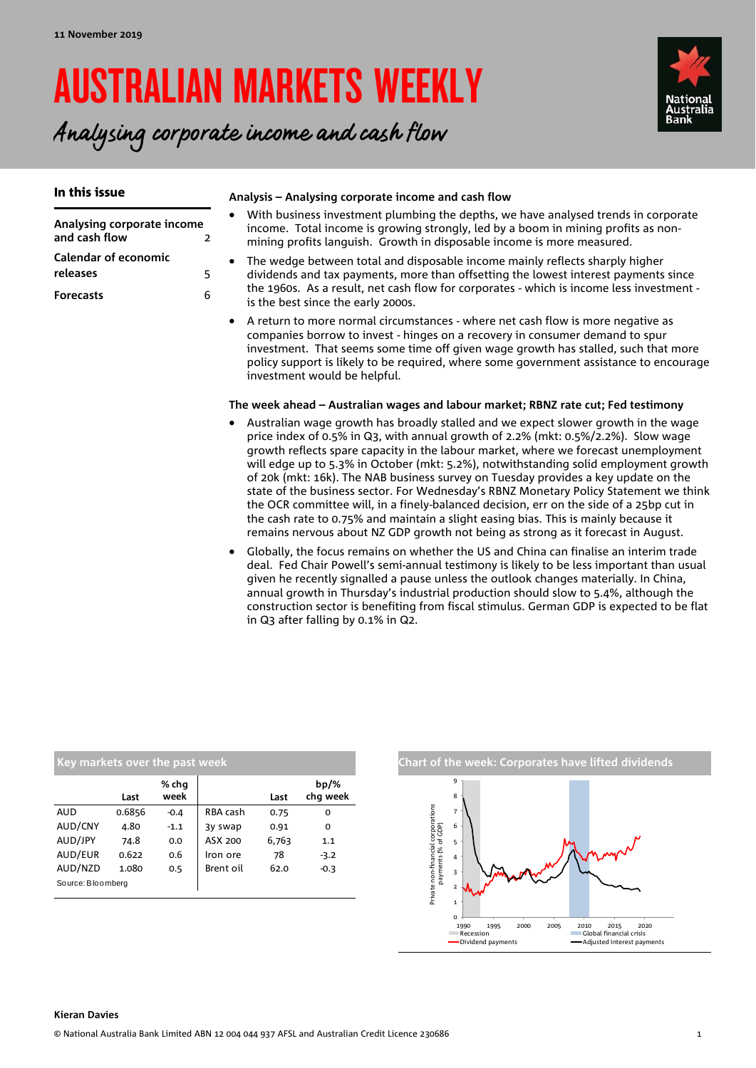# AUSTRALIAN MARKETS WEEKLY

# Analysing corporate income and cash flow



#### In this issue

**Calendar of economic** 

**releases** 5 **Forecasts** 6

|                            |  | With business inve  |  |
|----------------------------|--|---------------------|--|
| Analysing corporate income |  | income. Total inco  |  |
| and cash flow              |  | mining profite lane |  |

#### **Analysis – Analysing corporate income and cash flow**

- estment plumbing the depths, we have analysed trends in corporate ome is growing strongly, led by a boom in mining profits as nonmining profits languish. Growth in disposable income is more measured.
- The wedge between total and disposable income mainly reflects sharply higher dividends and tax payments, more than offsetting the lowest interest payments since the 1960s. As a result, net cash flow for corporates - which is income less investment is the best since the early 2000s.
- A return to more normal circumstances where net cash flow is more negative as companies borrow to invest - hinges on a recovery in consumer demand to spur investment. That seems some time off given wage growth has stalled, such that more policy support is likely to be required, where some government assistance to encourage investment would be helpful.

#### **The week ahead – Australian wages and labour market; RBNZ rate cut; Fed testimony**

- Australian wage growth has broadly stalled and we expect slower growth in the wage price index of 0.5% in Q3, with annual growth of 2.2% (mkt: 0.5%/2.2%). Slow wage growth reflects spare capacity in the labour market, where we forecast unemployment will edge up to 5.3% in October (mkt: 5.2%), notwithstanding solid employment growth of 20k (mkt: 16k). The NAB business survey on Tuesday provides a key update on the state of the business sector. For Wednesday's RBNZ Monetary Policy Statement we think the OCR committee will, in a finely-balanced decision, err on the side of a 25bp cut in the cash rate to 0.75% and maintain a slight easing bias. This is mainly because it remains nervous about NZ GDP growth not being as strong as it forecast in August.
- Globally, the focus remains on whether the US and China can finalise an interim trade deal. Fed Chair Powell's semi-annual testimony is likely to be less important than usual given he recently signalled a pause unless the outlook changes materially. In China, annual growth in Thursday's industrial production should slow to 5.4%, although the construction sector is benefiting from fiscal stimulus. German GDP is expected to be flat in Q3 after falling by 0.1% in Q2.

| Key markets over the past week |        |               |           |       |                     |  |  |  |  |  |  |
|--------------------------------|--------|---------------|-----------|-------|---------------------|--|--|--|--|--|--|
|                                | Last   | % chq<br>week |           | Last  | $bp/\%$<br>chq week |  |  |  |  |  |  |
| <b>AUD</b>                     | 0.6856 | $-0.4$        | RBA cash  | 0.75  | 0                   |  |  |  |  |  |  |
| AUD/CNY                        | 4.80   | $-1.1$        | 3y swap   | 0.91  | 0                   |  |  |  |  |  |  |
| AUD/JPY                        | 74.8   | 0.0           | ASX 200   | 6,763 | 1.1                 |  |  |  |  |  |  |
| AUD/EUR                        | 0.622  | 0.6           | Iron ore  | 78    | $-3.2$              |  |  |  |  |  |  |
| AUD/NZD                        | 1.080  | 0.5           | Brent oil | 62.0  | $-0.3$              |  |  |  |  |  |  |
| Source: Bloomberg              |        |               |           |       |                     |  |  |  |  |  |  |



### **Kieran Davies**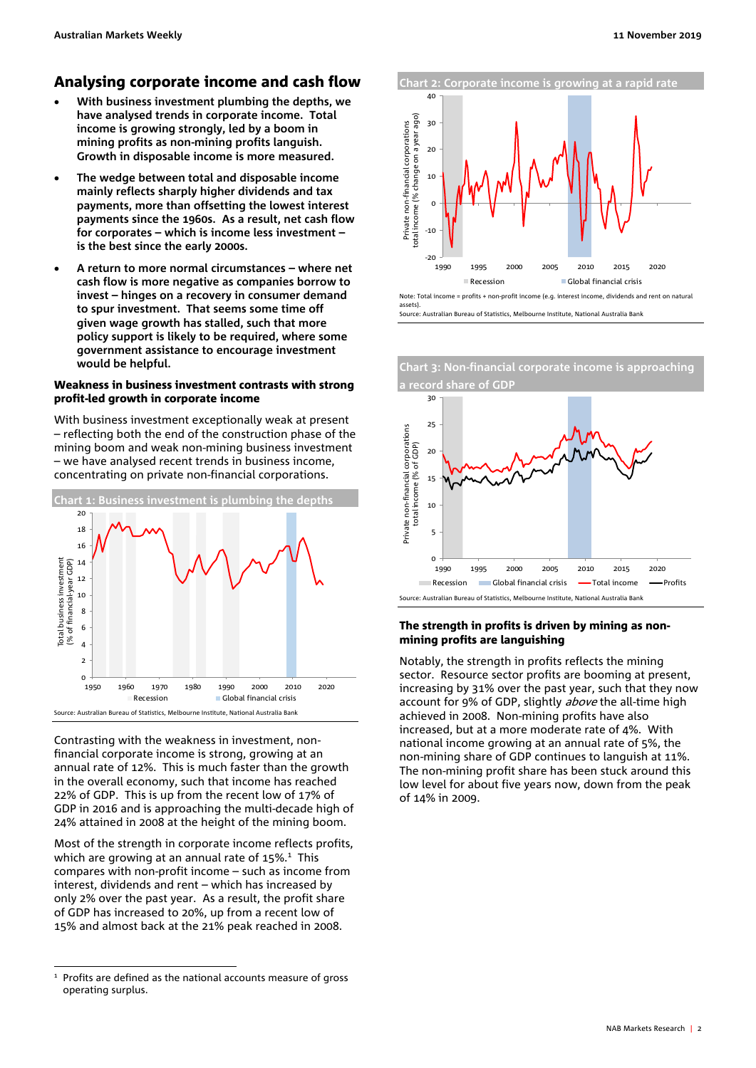#### Analysing corporate income and cash flow

- **With business investment plumbing the depths, we have analysed trends in corporate income. Total income is growing strongly, led by a boom in mining profits as non-mining profits languish. Growth in disposable income is more measured.**
- **The wedge between total and disposable income mainly reflects sharply higher dividends and tax payments, more than offsetting the lowest interest payments since the 1960s. As a result, net cash flow for corporates – which is income less investment – is the best since the early 2000s.**
- **A return to more normal circumstances where net cash flow is more negative as companies borrow to invest – hinges on a recovery in consumer demand to spur investment. That seems some time off given wage growth has stalled, such that more policy support is likely to be required, where some government assistance to encourage investment would be helpful.**

#### Weakness in business investment contrasts with strong profit-led growth in corporate income

With business investment exceptionally weak at present – reflecting both the end of the construction phase of the mining boom and weak non-mining business investment – we have analysed recent trends in business income, concentrating on private non-financial corporations.



Contrasting with the weakness in investment, nonfinancial corporate income is strong, growing at an annual rate of 12%. This is much faster than the growth in the overall economy, such that income has reached 22% of GDP. This is up from the recent low of 17% of GDP in 2016 and is approaching the multi-decade high of 24% attained in 2008 at the height of the mining boom.

Most of the strength in corporate income reflects profits, which are growing at an annual rate of  $15\%$ .<sup>1</sup> This compares with non-profit income – such as income from interest, dividends and rent – which has increased by only 2% over the past year. As a result, the profit share of GDP has increased to 20%, up from a recent low of 15% and almost back at the 21% peak reached in 2008.





**Chart 3: Non-financial corporate income is approaching** 

#### The strength in profits is driven by mining as nonmining profits are languishing

Notably, the strength in profits reflects the mining sector. Resource sector profits are booming at present, increasing by 31% over the past year, such that they now account for 9% of GDP, slightly *above* the all-time high achieved in 2008. Non-mining profits have also increased, but at a more moderate rate of 4%. With national income growing at an annual rate of 5%, the non-mining share of GDP continues to languish at 11%. The non-mining profit share has been stuck around this low level for about five years now, down from the peak of 14% in 2009.

 $\overline{a}$ <sup>1</sup> Profits are defined as the national accounts measure of gross operating surplus.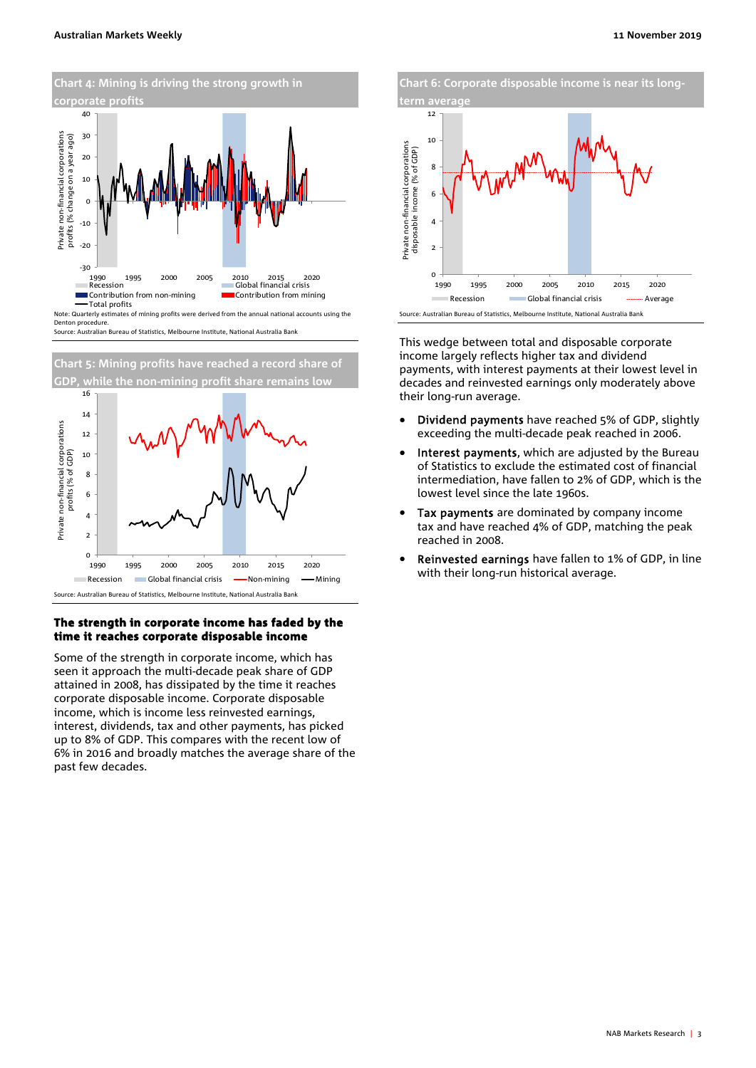



#### The strength in corporate income has faded by the time it reaches corporate disposable income

Some of the strength in corporate income, which has seen it approach the multi-decade peak share of GDP attained in 2008, has dissipated by the time it reaches corporate disposable income. Corporate disposable income, which is income less reinvested earnings, interest, dividends, tax and other payments, has picked up to 8% of GDP. This compares with the recent low of 6% in 2016 and broadly matches the average share of the past few decades.

**Chart 6: Corporate disposable income is near its long**term avera



This wedge between total and disposable corporate income largely reflects higher tax and dividend payments, with interest payments at their lowest level in decades and reinvested earnings only moderately above their long-run average.

- Dividend payments have reached 5% of GDP, slightly exceeding the multi-decade peak reached in 2006.
- Interest payments, which are adjusted by the Bureau of Statistics to exclude the estimated cost of financial intermediation, have fallen to 2% of GDP, which is the lowest level since the late 1960s.
- Tax payments are dominated by company income tax and have reached 4% of GDP, matching the peak reached in 2008.
- Reinvested earnings have fallen to 1% of GDP, in line with their long-run historical average.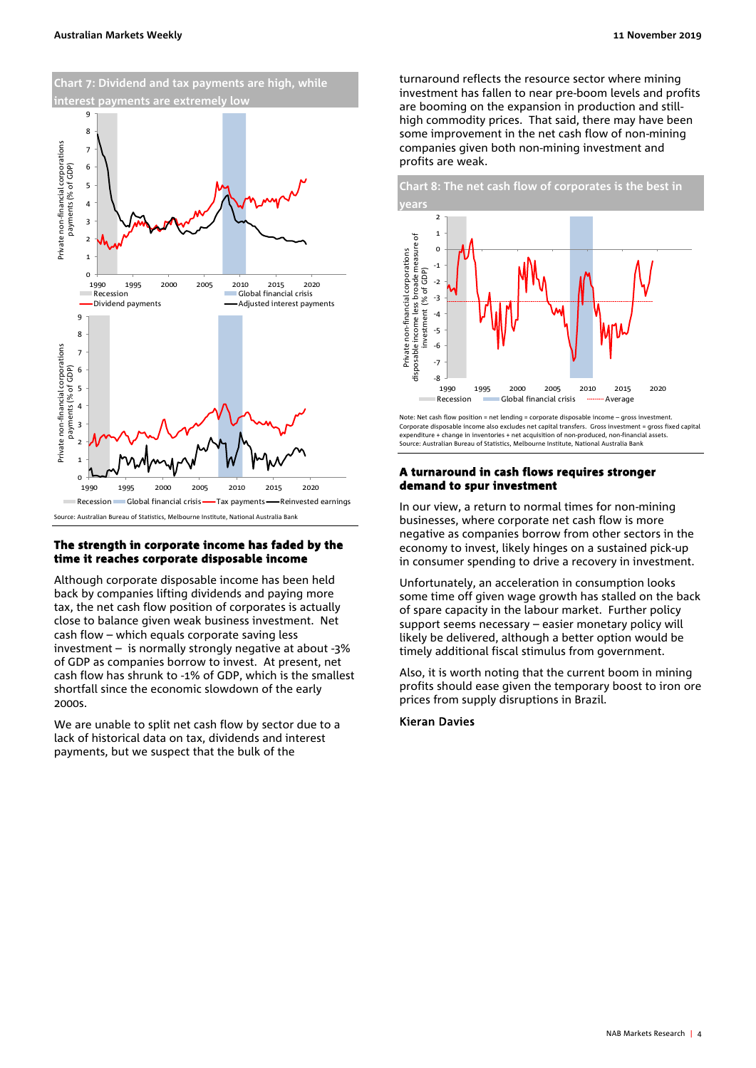

#### The strength in corporate income has faded by the time it reaches corporate disposable income

Although corporate disposable income has been held back by companies lifting dividends and paying more tax, the net cash flow position of corporates is actually close to balance given weak business investment. Net cash flow – which equals corporate saving less investment – is normally strongly negative at about -3% of GDP as companies borrow to invest. At present, net cash flow has shrunk to -1% of GDP, which is the smallest shortfall since the economic slowdown of the early 2000s.

We are unable to split net cash flow by sector due to a lack of historical data on tax, dividends and interest payments, but we suspect that the bulk of the

turnaround reflects the resource sector where mining investment has fallen to near pre-boom levels and profits are booming on the expansion in production and stillhigh commodity prices. That said, there may have been some improvement in the net cash flow of non-mining companies given both non-mining investment and profits are weak.



Note: Net cash flow position = net lending = corporate disposable income – gross investment. Corporate disposable income also excludes net capital transfers. Gross investment = gross fixed capital expenditure + change in inventories + net acquisition of non-produced, non-financial assets. Source: Australian Bureau of Statistics, Melbourne Institute, National Australia Bank

#### A turnaround in cash flows requires stronger demand to spur investment

In our view, a return to normal times for non-mining businesses, where corporate net cash flow is more negative as companies borrow from other sectors in the economy to invest, likely hinges on a sustained pick-up in consumer spending to drive a recovery in investment.

Unfortunately, an acceleration in consumption looks some time off given wage growth has stalled on the back of spare capacity in the labour market. Further policy support seems necessary – easier monetary policy will likely be delivered, although a better option would be timely additional fiscal stimulus from government.

Also, it is worth noting that the current boom in mining profits should ease given the temporary boost to iron ore prices from supply disruptions in Brazil.

#### Kieran Davies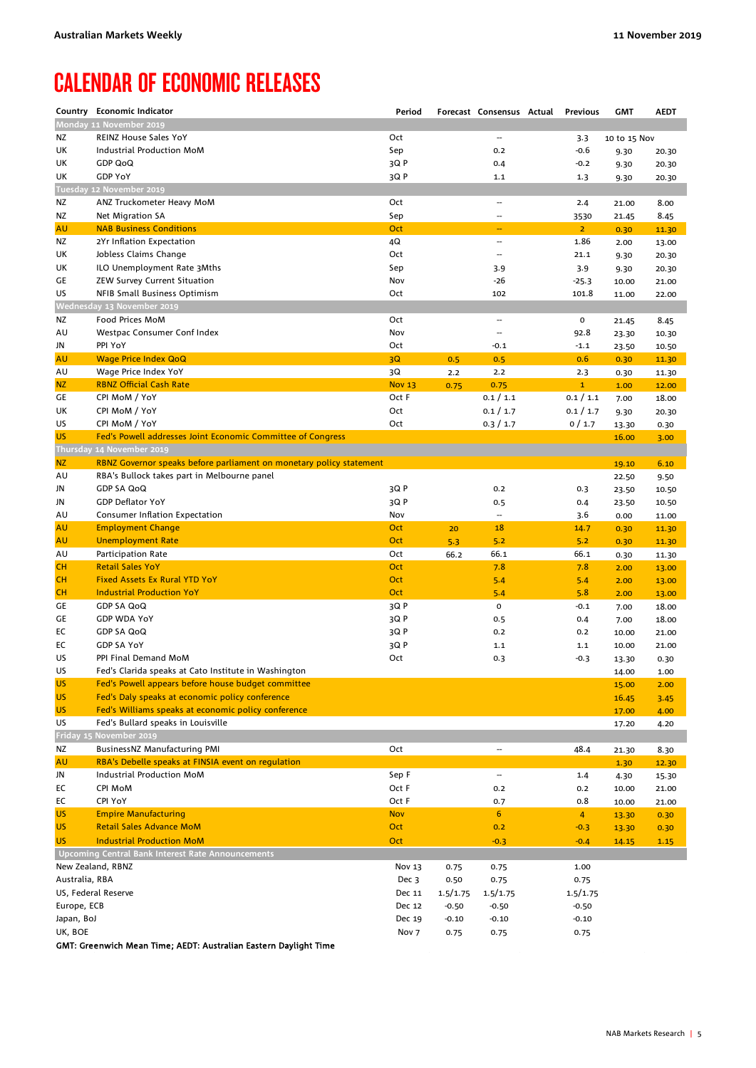## CALENDAR OF ECONOMIC RELEASES

|                   | Country Economic Indicator                                          | Period                 |          | Forecast Consensus Actual | <b>Previous</b>     | <b>GMT</b>     | <b>AEDT</b> |
|-------------------|---------------------------------------------------------------------|------------------------|----------|---------------------------|---------------------|----------------|-------------|
|                   | Monday 11 November 2019                                             |                        |          |                           |                     |                |             |
| ΝZ                | <b>REINZ House Sales YoY</b>                                        | Oct                    |          | $\qquad \qquad \cdots$    | 3.3                 | 10 to 15 Nov   |             |
| UK                | Industrial Production MoM                                           | Sep                    |          | 0.2                       | $-0.6$              | 9.30           | 20.30       |
| UK                | <b>GDP QoQ</b>                                                      | 3QP                    |          | 0.4                       | $-0.2$              | 9.30           | 20.30       |
| UK                | <b>GDP YoY</b>                                                      | 3QP                    |          | 1.1                       | 1.3                 | 9.30           | 20.30       |
|                   | Tuesday 12 November 2019                                            |                        |          |                           |                     |                |             |
| ΝZ                | ANZ Truckometer Heavy MoM                                           | Oct                    |          | $\overline{\phantom{a}}$  | 2.4                 | 21.00          | 8.00        |
| ΝZ                | Net Migration SA                                                    | Sep                    |          | $\overline{\phantom{a}}$  | 3530                | 21.45          | 8.45        |
| AU                | <b>NAB Business Conditions</b>                                      | Oct                    |          | $\overline{\phantom{a}}$  | $\overline{2}$      | 0.30           | 11.30       |
| ΝZ                | 2Yr Inflation Expectation                                           | 4Q                     |          | $\overline{\phantom{a}}$  | 1.86                | 2.00           | 13.00       |
| UK                | Jobless Claims Change                                               | Oct                    |          | $\overline{\phantom{a}}$  | 21.1                | 9.30           | 20.30       |
| UK                | ILO Unemployment Rate 3Mths                                         | Sep                    |          | 3.9                       | 3.9                 | 9.30           | 20.30       |
| GE                | ZEW Survey Current Situation                                        | Nov                    |          | -26                       | $-25.3$             | 10.00          | 21.00       |
| US                | NFIB Small Business Optimism                                        | Oct                    |          | 102                       | 101.8               | 11.00          | 22.00       |
|                   | Wednesday 13 November 2019                                          |                        |          |                           |                     |                |             |
| ΝZ                | Food Prices MoM                                                     | Oct                    |          | $\qquad \qquad \cdots$    | 0                   | 21.45          | 8.45        |
| AU                | Westpac Consumer Conf Index<br>PPI YoY                              | Nov                    |          | $\overline{\phantom{a}}$  | 92.8                | 23.30          | 10.30       |
| JN                |                                                                     | Oct                    |          | $-0.1$                    | $-1.1$              | 23.50          | 10.50       |
| AU                | <b>Wage Price Index QoQ</b><br>Wage Price Index YoY                 | 3Q                     | 0.5      | 0.5                       | 0.6                 | 0.30           | 11.30       |
| AU<br>NZ          | <b>RBNZ Official Cash Rate</b>                                      | 3Q                     | 2.2      | 2.2                       | 2.3<br>$\mathbf{1}$ | 0.30           | 11.30       |
| GE                | CPI MoM / YoY                                                       | <b>Nov 13</b><br>Oct F | 0.75     | 0.75<br>0.1 / 1.1         | 0.1 / 1.1           | 1.00           | 12.00       |
| UK                | CPI MoM / YoY                                                       | Oct                    |          | 0.1 / 1.7                 | 0.1 / 1.7           | 7.00           | 18.00       |
| US                | CPI MoM / YoY                                                       | Oct                    |          |                           | 0/1.7               | 9.30           | 20.30       |
| <b>US</b>         | Fed's Powell addresses Joint Economic Committee of Congress         |                        |          | 0.3 / 1.7                 |                     | 13.30<br>16.00 | 0.30        |
|                   | Thursday 14 November 2019                                           |                        |          |                           |                     |                | 3.00        |
| <b>NZ</b>         | RBNZ Governor speaks before parliament on monetary policy statement |                        |          |                           |                     | 19.10          | 6.10        |
| AU                | RBA's Bullock takes part in Melbourne panel                         |                        |          |                           |                     | 22.50          | 9.50        |
| JN                | <b>GDP SA QoQ</b>                                                   | 3QP                    |          | 0.2                       | 0.3                 | 23.50          | 10.50       |
| JN                | <b>GDP Deflator YoY</b>                                             | 3QP                    |          | 0.5                       | 0.4                 | 23.50          | 10.50       |
| AU                | Consumer Inflation Expectation                                      | Nov                    |          | $\overline{\phantom{a}}$  | 3.6                 | 0.00           | 11.00       |
| AU                | <b>Employment Change</b>                                            | Oct                    | 20       | 18                        | 14.7                | 0.30           | 11.30       |
| AU                | <b>Unemployment Rate</b>                                            | Oct                    | 5.3      | 5.2                       | 5.2                 | 0.30           | 11.30       |
| AU                | Participation Rate                                                  | Oct                    | 66.2     | 66.1                      | 66.1                | 0.30           | 11.30       |
| cн                | <b>Retail Sales YoY</b>                                             | Oct                    |          | 7.8                       | 7.8                 | 2.00           | 13.00       |
| CН                | <b>Fixed Assets Ex Rural YTD YoY</b>                                | Oct                    |          | 5.4                       | 5.4                 | 2.00           | 13.00       |
| cн                | <b>Industrial Production YoY</b>                                    | Oct                    |          | 5.4                       | 5.8                 | 2.00           | 13.00       |
| GE                | GDP SA QoQ                                                          | 3Q P                   |          | $\mathbf 0$               | $-0.1$              | 7.00           | 18.00       |
| GE                | <b>GDP WDA YoY</b>                                                  | 3Q P                   |          | 0.5                       | 0.4                 | 7.00           | 18.00       |
| EС                | <b>GDP SA QoQ</b>                                                   | 3Q P                   |          | 0.2                       | 0.2                 | 10.00          | 21.00       |
| EС                | <b>GDP SA YoY</b>                                                   | 3Q P                   |          | 1.1                       | 1.1                 | 10.00          | 21.00       |
| US                | PPI Final Demand MoM                                                | Oct                    |          | 0.3                       | $-0.3$              | 13.30          | 0.30        |
| US                | Fed's Clarida speaks at Cato Institute in Washington                |                        |          |                           |                     | 14.00          | 1.00        |
| <b>US</b>         | Fed's Powell appears before house budget committee                  |                        |          |                           |                     | 15.00          | 2.00        |
| <b>US</b>         | Fed's Daly speaks at economic policy conference                     |                        |          |                           |                     | 16.45          | 3.45        |
| <b>US</b>         | Fed's Williams speaks at economic policy conference                 |                        |          |                           |                     | 17.00          | 4.00        |
| US                | Fed's Bullard speaks in Louisville                                  |                        |          |                           |                     | 17.20          | 4.20        |
|                   | Friday 15 November 2019                                             |                        |          |                           |                     |                |             |
| ΝZ                | BusinessNZ Manufacturing PMI                                        | Oct                    |          | $\overline{a}$            | 48.4                | 21.30          | 8.30        |
| AU                | RBA's Debelle speaks at FINSIA event on regulation                  |                        |          |                           |                     | 1.30           | 12.30       |
| JN                | Industrial Production MoM                                           | Sep F                  |          | $\overline{\phantom{a}}$  | 1.4                 | 4.30           | 15.30       |
| EС                | <b>CPI MoM</b>                                                      | Oct F                  |          | 0.2                       | 0.2                 | 10.00          | 21.00       |
| EC                | CPI YoY                                                             | Oct F                  |          | 0.7                       | 0.8                 | 10.00          | 21.00       |
| US.               | <b>Empire Manufacturing</b>                                         | <b>Nov</b>             |          | $\boldsymbol{6}$          | $\overline{4}$      | 13.30          | 0.30        |
| <b>US</b>         | <b>Retail Sales Advance MoM</b>                                     | Oct                    |          | 0.2                       | $-0.3$              | 13.30          | 0.30        |
| <b>US</b>         | <b>Industrial Production MoM</b>                                    | Oct                    |          | $-0.3$                    | $-0.4$              | 14.15          | 1.15        |
|                   | <b>Upcoming Central Bank Interest Rate Announcements</b>            |                        |          |                           |                     |                |             |
| New Zealand, RBNZ |                                                                     | Nov 13                 | 0.75     | 0.75                      | 1.00                |                |             |
| Australia, RBA    |                                                                     | Dec 3                  | 0.50     | 0.75                      | 0.75                |                |             |
|                   | US, Federal Reserve                                                 | Dec 11                 | 1.5/1.75 | 1.5/1.75                  | 1.5/1.75            |                |             |
| Europe, ECB       |                                                                     | Dec 12                 | $-0.50$  | $-0.50$                   | $-0.50$             |                |             |
| Japan, BoJ        |                                                                     | Dec 19                 | $-0.10$  | $-0.10$                   | $-0.10$             |                |             |
| UK, BOE           |                                                                     | Nov <sub>7</sub>       | 0.75     | 0.75                      | 0.75                |                |             |

GMT: Greenwich Mean Time; AEDT: Australian Eastern Daylight Time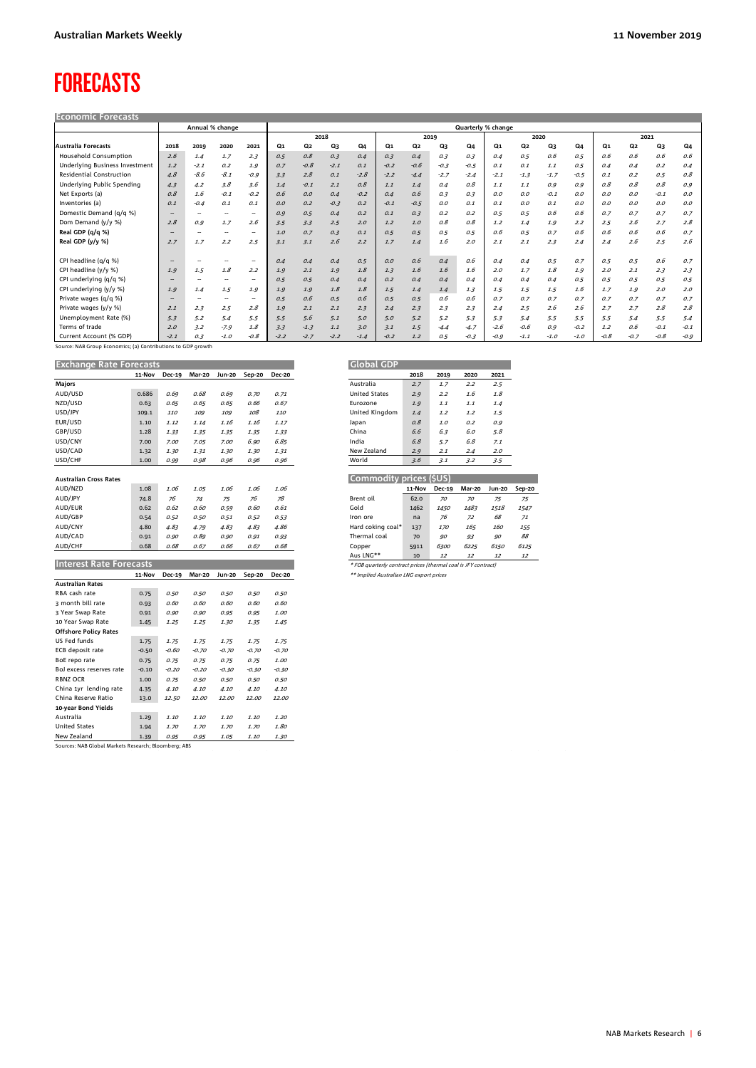### FORECASTS

| <b>Economic Forecasts</b>       |        |                          |                 |        |        |        |        |        |        |        |        |        |                    |        |        |        |                |                |        |        |
|---------------------------------|--------|--------------------------|-----------------|--------|--------|--------|--------|--------|--------|--------|--------|--------|--------------------|--------|--------|--------|----------------|----------------|--------|--------|
|                                 |        |                          | Annual % change |        |        |        |        |        |        |        |        |        | Quarterly % change |        |        |        |                |                |        |        |
|                                 |        |                          |                 |        |        |        | 2018   |        |        |        | 2019   |        | 2020               |        |        |        | 2021           |                |        |        |
| Australia Forecasts             | 2018   | 2019                     | 2020            | 2021   | Q1     | Q2     | Q3     | Q4     | Q1     | Q2     | Q3     | Q4     | Q1                 | Q2     | Q3     | Q4     | Q <sub>1</sub> | Q <sub>2</sub> | Q3     | Q4     |
| Household Consumption           | 2.6    | 1.4                      | 1.7             | 2.3    | 0.5    | 0.8    | 0.3    | 0.4    | 0.3    | 0.4    | 0.3    | 0.3    | 0.4                | 0.5    | 0.6    | 0.5    | 0.6            | 0.6            | 0.6    | 0.6    |
| Underlying Business Investment  | 1.2    | $-2.1$                   | 0.2             | 1.9    | 0.7    | $-0.8$ | $-2.1$ | 0.1    | $-0.2$ | $-0.6$ | $-0.3$ | $-0.5$ | 0.1                | 0.1    | 1.1    | 0.5    | 0.4            | 0.4            | 0.2    | 0.4    |
| <b>Residential Construction</b> | 4.8    | $-8.6$                   | $-8.1$          | $-0.9$ | 3.3    | 2.8    | 0.1    | $-2.8$ | $-2.2$ | $-4.4$ | $-2.7$ | $-2.4$ | $-2.1$             | $-1.3$ | $-1.7$ | $-0.5$ | 0.1            | 0.2            | 0.5    | 0.8    |
| Underlying Public Spending      | 4.3    | 4.2                      | 3.8             | 3.6    | 1.4    | $-0.1$ | 2.1    | 0.8    | 1.1    | 1.4    | 0.4    | 0.8    | 1.1                | 1.1    | 0.9    | 0.9    | 0.8            | 0.8            | 0.8    | 0.9    |
| Net Exports (a)                 | 0.8    | 1.6                      | $-0.1$          | $-0.2$ | 0.6    | 0.0    | 0.4    | $-0.2$ | 0.4    | 0.6    | 0.3    | 0.3    | O.O                | O, O   | $-0.1$ | 0.0    | O, O           | O, O           | $-0.1$ | O.O    |
| Inventories (a)                 | 0.1    | $-0.4$                   | 0.1             | 0.1    | O.O    | 0.2    | $-0.3$ | 0.2    | $-0.1$ | $-0.5$ | 0.0    | 0.1    | 0.1                | 0.0    | 0.1    | O, O   | O, O           | O, O           | 0.0    | O, O   |
| Domestic Demand (q/q %)         | $\sim$ | -                        | -               | -      | 0.9    | 0.5    | 0.4    | 0.2    | 0.1    | 0.3    | 0.2    | 0.2    | 0.5                | 0.5    | 0.6    | 0.6    | 0.7            | 0.7            | 0.7    | 0.7    |
| Dom Demand (y/y %)              | 2.8    | 0.9                      | 1.7             | 2.6    | 3.5    | 3.3    | 2.5    | 2.0    | 1.2    | 1.0    | 0.8    | 0.8    | 1.2                | 1.4    | 1.9    | 2.2    | 2.5            | 2.6            | 2.7    | 2.8    |
| Real GDP (q/q %)                | $\sim$ | $\overline{\phantom{a}}$ | $\rightarrow$   | -      | 1,0    | 0.7    | 0.3    | 0.1    | 0.5    | 0.5    | 0.5    | 0.5    | 0.6                | 0.5    | 0.7    | 0.6    | 0.6            | 0.6            | 0.6    | 0.7    |
| Real GDP (y/y %)                | 2.7    | 1.7                      | 2.2             | 2.5    | 3.1    | 3.1    | 2.6    | 2.2    | 1.7    | 1.4    | 1.6    | 2.0    | 2.1                | 2.1    | 2.3    | 2.4    | 2.4            | 2.6            | 2.5    | 2.6    |
|                                 |        |                          |                 |        |        |        |        |        |        |        |        |        |                    |        |        |        |                |                |        |        |
| CPI headline (q/q %)            | $\sim$ |                          |                 |        | 0.4    | 0.4    | 0.4    | 0.5    | O, O   | 0.6    | 0.4    | 0.6    | 0.4                | 0.4    | 0.5    | 0.7    | 0.5            | 0.5            | 0.6    | 0.7    |
| CPI headline (y/y %)            | 1.9    | 1.5                      | 1.8             | 2.2    | 1.9    | 2.1    | 1.9    | 1.8    | 1.3    | 1.6    | 1.6    | 1.6    | 2.0                | 1.7    | 1.8    | 1.9    | 2.0            | 2.1            | 2.3    | 2.3    |
| CPI underlying (g/g %)          | $\sim$ | -                        | $\rightarrow$   | -      | 0.5    | 0.5    | 0.4    | 0.4    | 0.2    | 0.4    | 0.4    | 0.4    | 0.4                | 0.4    | 0.4    | 0.5    | 0.5            | 0.5            | 0.5    | 0.5    |
| CPI underlying (y/y %)          | 1.9    | 1.4                      | 1.5             | 1.9    | 1.9    | 1.9    | 1.8    | 1.8    | 1.5    | 1.4    | 1.4    | 1.3    | 1.5                | 1.5    | 1.5    | 1.6    | 1.7            | 1.9            | 2.0    | 2.0    |
| Private wages (g/g %)           | $\sim$ | -                        | $\sim$          | -      | 0.5    | 0.6    | 0.5    | 0.6    | 0.5    | 0.5    | 0.6    | 0.6    | 0.7                | 0.7    | 0.7    | 0.7    | 0.7            | 0.7            | 0.7    | 0.7    |
| Private wages (y/y %)           | 2.1    | 2.3                      | 2.5             | 2.8    | 1.9    | 2.1    | 2.1    | 2.3    | 2.4    | 2.3    | 2.3    | 2.3    | 2.4                | 2.5    | 2.6    | 2.6    | 2.7            | 2.7            | 2.8    | 2.8    |
| Unemployment Rate (%)           | 5.3    | 5.2                      | 5.4             | 5.5    | 5.5    | 5.6    | 5.1    | 5.0    | 5.0    | 5.2    | 5.2    | 5.3    | 5.3                | 5.4    | 5.5    | 5.5    | 5.5            | 5.4            | 5.5    | 5.4    |
| Terms of trade                  | 2.0    | 3.2                      | $-7.9$          | 1.8    | 3.3    | $-1.3$ | 1.1    | 3.0    | 3.1    | 1.5    | $-4.4$ | $-4.7$ | $-2.6$             | $-0.6$ | 0.9    | $-0.2$ | 1.2            | 0.6            | $-0.1$ | $-0.1$ |
| Current Account (% GDP)         | $-2.1$ | 0.3                      | $-1.0$          | $-0.8$ | $-2.2$ | $-2.7$ | $-2.2$ | $-1.4$ | $-0.2$ | 1.2    | 0.5    | $-0.3$ | $-0.9$             | $-1.1$ | $-1.0$ | $-1.0$ | $-0.8$         | $-0.7$         | $-0.8$ | $-0.9$ |

Source: NAB Group Economics; (a) Contributions to GDP growth

**Exchange Rate Forecasts GDP**  $\overline{\phantom{a}}$ 

| <b>EXCHANGE NALE FUITLASLS</b> |         |               |         |               |         |               |
|--------------------------------|---------|---------------|---------|---------------|---------|---------------|
|                                | 11-Nov  | <b>Dec-19</b> | Mar-20  | Jun-20        | Sep-20  | <b>Dec-20</b> |
| Majors                         |         |               |         |               |         |               |
| AUD/USD                        | 0.686   | 0.69          | 0.68    | 0.69          | 0.70    | 0.71          |
| NZD/USD                        | 0.63    | 0.65          | 0.65    | 0.65          | 0.66    | 0.67          |
| USD/JPY                        | 109.1   | 110           | 109     | 109           | 108     | 110           |
| EUR/USD                        | 1.10    | 1.12          | 1.14    | 1.16          | 1.16    | 1.17          |
| GBP/USD                        | 1.28    | 1.33          | 1.35    | 1.35          | 1.35    | 1.33          |
| USD/CNY                        | 7.00    | 7.00          | 7.05    | 7.00          | 6.90    | 6.85          |
| USD/CAD                        | 1.32    | 1.30          | 1.31    | 1.30          | 1.30    | 1.31          |
| USD/CHF                        | 1.00    | 0.99          | 0.98    | 0.96          | 0.96    | 0.96          |
|                                |         |               |         |               |         |               |
| <b>Australian Cross Rates</b>  |         |               |         |               |         |               |
| AUD/NZD                        | 1.08    | 1.06          | 1.05    | 1.06          | 1.06    | 1.06          |
| AUD/JPY                        | 74.8    | 76            | 74      | 75            | 76      | 78            |
| AUD/EUR                        | 0.62    | 0.62          | 0.60    | 0.59          | 0.60    | 0.61          |
| AUD/GBP                        | 0.54    | 0.52          | 0.50    | 0.51          | 0.52    | 0.53          |
| AUD/CNY                        | 4.80    | 4.83          | 4.79    | 4.83          | 4.83    | 4.86          |
| AUD/CAD                        | 0.91    | 0.90          | 0.89    | 0.90          | 0.91    | 0.93          |
| AUD/CHF                        | 0.68    | 0.68          | 0.67    | 0.66          | 0.67    | 0.68          |
|                                |         |               |         |               |         |               |
| <b>Interest Rate Forecasts</b> |         |               |         |               |         |               |
|                                | 11-Nov  | Dec-19        | Mar-20  | <b>Jun-20</b> | Sep-20  | <b>Dec-20</b> |
| <b>Australian Rates</b>        |         |               |         |               |         |               |
| RBA cash rate                  | 0.75    | 0.50          | 0.50    | 0.50          | 0.50    | 0.50          |
| 3 month bill rate              | 0.93    | 0.60          | 0.60    | 0.60          | 0.60    | 0.60          |
| 3 Year Swap Rate               | 0.91    | 0.90          | 0.90    | 0.95          | 0.95    | 1.00          |
| 10 Year Swap Rate              | 1.45    | 1.25          | 1.25    | 1.30          | 1.35    | 1.45          |
| <b>Offshore Policy Rates</b>   |         |               |         |               |         |               |
| US Fed funds                   | 1.75    | 1.75          | 1.75    | 1.75          | 1.75    | 1.75          |
| ECB deposit rate               | $-0.50$ | -0.60         | $-0.70$ | $-0.70$       | $-0.70$ | $-0.70$       |
| BoE repo rate                  | 0.75    | 0.75          | 0.75    | 0.75          | 0.75    | 1.00          |
| BoJ excess reserves rate       | $-0.10$ | $-0.20$       | $-0.20$ | $-0.30$       | $-0.30$ | $-0.30$       |
| <b>RBNZ OCR</b>                | 1.00    | 0.75          | 0.50    | 0.50          | 0.50    | 0.50          |
| China 1yr lending rate         | 4.35    | 4.10          | 4.10    | 4.10          | 4.10    | 4.10          |
| China Reserve Ratio            | 13.0    | 12.50         | 12.00   | 12.00         | 12.00   | 12.00         |
| 10-year Bond Yields            |         |               |         |               |         |               |
| Australia                      | 1.29    | 1.10          | 1.10    | 1.10          | 1.10    | 1.20          |
| <b>United States</b>           | 1.94    | 1.70          | 1.70    | 1.70          | 1.70    | 1.80          |
| New Zealand                    | 1.39    | 0.95          | 0.95    | 1.05          | 1.10    | 1.30          |

Sources: NAB Global Markets Research; Bloomberg; ABS

|                      | 2018 | 2019 | 2020 | 2021 |
|----------------------|------|------|------|------|
| Australia            | 2.7  | 1.7  | 2.2  | 2.5  |
| <b>United States</b> | 2.9  | 2.2  | 7.6  | 7.8  |
| <b>Furozone</b>      | 1.9  | 7.7  | 7.7  | 1.4  |
| United Kingdom       | 1.4  | 1.2  | 1.2  | 1.5  |
| Japan                | 0.8  | 1.0  | 0.2  | 0.9  |
| China                | 6.6  | 6.3  | 6.0  | 5.8  |
| India                | 6.8  | 5.7  | 6.8  | 7.1  |
| New 7ealand          | 2.9  | 2.1  | 2.4  | 2.0  |
| World                | 3.6  | 3.1  | 3.2  | 3.5  |

÷

| Commodity prices (\$US) |        |               |        |               |        |  |  |  |  |  |  |
|-------------------------|--------|---------------|--------|---------------|--------|--|--|--|--|--|--|
|                         | 11-Nov | <b>Dec-19</b> | Mar-20 | <b>Jun-20</b> | Sep-20 |  |  |  |  |  |  |
| Brent oil               | 62.0   | 70            | 70     | 75            | 75     |  |  |  |  |  |  |
| Gold                    | 1462   | 1450          | 1483   | 1518          | 1547   |  |  |  |  |  |  |
| Iron ore                | na     | 76            | 72     | 68            | 71     |  |  |  |  |  |  |
| Hard coking coal*       | 137    | 170           | 165    | 160           | 155    |  |  |  |  |  |  |
| Thermal coal            | 70     | 90            | 93     | 90            | 88     |  |  |  |  |  |  |
| Copper                  | 5911   | 6300          | 6225   | 6150          | 6125   |  |  |  |  |  |  |
| .                       |        |               |        |               |        |  |  |  |  |  |  |